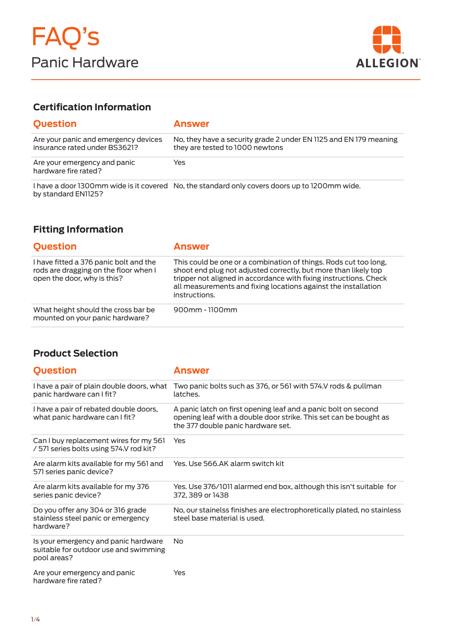

### **Certification Information**

| <b>Question</b>                                                       | <b>Answer</b>                                                                                        |
|-----------------------------------------------------------------------|------------------------------------------------------------------------------------------------------|
| Are your panic and emergency devices<br>insurance rated under BS3621? | No, they have a security grade 2 under EN 1125 and EN 179 meaning<br>they are tested to 1000 newtons |
| Are your emergency and panic<br>hardware fire rated?                  | Yes                                                                                                  |
|                                                                       | I have a door 1300 mm wide is it covered No, the standard only covers doors up to 1200 mm wide.      |

I have a door 1300mm wide is it covered by standard EN1125? No, the standard only covers doors up to 1200mm wide.

### **Fitting Information**

| <b>Question</b>                                                                                                | <b>Answer</b>                                                                                                                                                                                                                                                                               |
|----------------------------------------------------------------------------------------------------------------|---------------------------------------------------------------------------------------------------------------------------------------------------------------------------------------------------------------------------------------------------------------------------------------------|
| I have fitted a 376 panic bolt and the<br>rods are dragging on the floor when I<br>open the door, why is this? | This could be one or a combination of things. Rods cut too long,<br>shoot end plug not adjusted correctly, but more than likely top<br>tripper not aligned in accordance with fixing instructions. Check<br>all measurements and fixing locations against the installation<br>instructions. |
| What height should the cross bar be.<br>mounted on your panic hardware?                                        | $900$ mm - 1100mm                                                                                                                                                                                                                                                                           |

#### **Product Selection**

| <b>Question</b>                                                                              | <b>Answer</b>                                                                                                                                                             |
|----------------------------------------------------------------------------------------------|---------------------------------------------------------------------------------------------------------------------------------------------------------------------------|
| I have a pair of plain double doors, what<br>panic hardware can I fit?                       | Two panic bolts such as 376, or 561 with 574.V rods & pullman<br>latches.                                                                                                 |
| I have a pair of rebated double doors,<br>what panic hardware can I fit?                     | A panic latch on first opening leaf and a panic bolt on second<br>opening leaf with a double door strike. This set can be bought as<br>the 377 double panic hardware set. |
| Can I buy replacement wires for my 561<br>/ 571 series bolts using 574.V rod kit?            | Yes                                                                                                                                                                       |
| Are alarm kits available for my 561 and<br>571 series panic device?                          | Yes. Use 566.AK alarm switch kit                                                                                                                                          |
| Are alarm kits available for my 376<br>series panic device?                                  | Yes. Use 376/1011 alarmed end box, although this isn't suitable for<br>372, 389 or 1438                                                                                   |
| Do you offer any 304 or 316 grade<br>stainless steel panic or emergency<br>hardware?         | No, our stainelss finishes are electrophoretically plated, no stainless<br>steel base material is used.                                                                   |
| Is your emergency and panic hardware<br>suitable for outdoor use and swimming<br>pool areas? | No                                                                                                                                                                        |
| Are your emergency and panic<br>hardware fire rated?                                         | Yes                                                                                                                                                                       |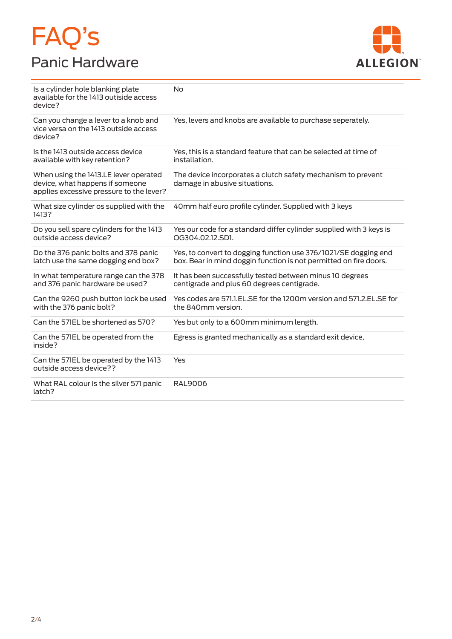# FAQ's Panic Hardware



| Is a cylinder hole blanking plate<br>available for the 1413 outiside access<br>device?                               | <b>No</b>                                                                                                                            |
|----------------------------------------------------------------------------------------------------------------------|--------------------------------------------------------------------------------------------------------------------------------------|
| Can you change a lever to a knob and<br>vice versa on the 1413 outside access<br>device?                             | Yes, levers and knobs are available to purchase seperately.                                                                          |
| Is the 1413 outside access device<br>available with key retention?                                                   | Yes, this is a standard feature that can be selected at time of<br>installation.                                                     |
| When using the 1413.LE lever operated<br>device, what happens if someone<br>applies excessive pressure to the lever? | The device incorporates a clutch safety mechanism to prevent<br>damage in abusive situations.                                        |
| What size cylinder os supplied with the<br>1413?                                                                     | 40mm half euro profile cylinder. Supplied with 3 keys                                                                                |
| Do you sell spare cylinders for the 1413<br>outside access device?                                                   | Yes our code for a standard differ cylinder supplied with 3 keys is<br>OG304.02.12.SD1.                                              |
| Do the 376 panic bolts and 378 panic<br>latch use the same dogging end box?                                          | Yes, to convert to dogging function use 376/1021/SE dogging end<br>box. Bear in mind doggin function is not permitted on fire doors. |
| In what temperature range can the 378<br>and 376 panic hardware be used?                                             | It has been successfully tested between minus 10 degrees<br>centigrade and plus 60 degrees centigrade.                               |
| Can the 9260 push button lock be used<br>with the 376 panic bolt?                                                    | Yes codes are 571.1.EL.SE for the 1200m version and 571.2.EL.SE for<br>the 840mm version.                                            |
| Can the 571EL be shortened as 570?                                                                                   | Yes but only to a 600mm minimum length.                                                                                              |
| Can the 571EL be operated from the<br>inside?                                                                        | Egress is granted mechanically as a standard exit device,                                                                            |
| Can the 571EL be operated by the 1413<br>outside access device??                                                     | Yes                                                                                                                                  |
| What RAL colour is the silver 571 panic<br>latch?                                                                    | <b>RAL9006</b>                                                                                                                       |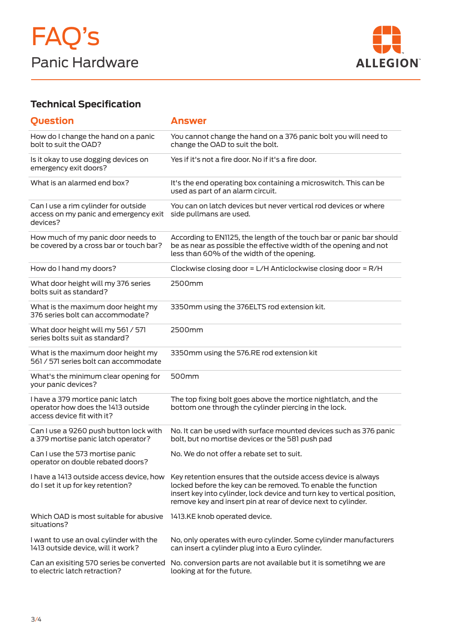

# **Technical Specification**

| <b>Question</b>                                                                                      | <b>Answer</b>                                                                                                                                                                                                                                                               |
|------------------------------------------------------------------------------------------------------|-----------------------------------------------------------------------------------------------------------------------------------------------------------------------------------------------------------------------------------------------------------------------------|
| How do I change the hand on a panic<br>bolt to suit the OAD?                                         | You cannot change the hand on a 376 panic bolt you will need to<br>change the OAD to suit the bolt.                                                                                                                                                                         |
| Is it okay to use dogging devices on<br>emergency exit doors?                                        | Yes if it's not a fire door. No if it's a fire door.                                                                                                                                                                                                                        |
| What is an alarmed end box?                                                                          | It's the end operating box containing a microswitch. This can be<br>used as part of an alarm circuit.                                                                                                                                                                       |
| Can I use a rim cylinder for outside<br>access on my panic and emergency exit<br>devices?            | You can on latch devices but never vertical rod devices or where<br>side pullmans are used.                                                                                                                                                                                 |
| How much of my panic door needs to<br>be covered by a cross bar or touch bar?                        | According to EN1125, the length of the touch bar or panic bar should<br>be as near as possible the effective width of the opening and not<br>less than 60% of the width of the opening.                                                                                     |
| How do I hand my doors?                                                                              | Clockwise closing door = L/H Anticlockwise closing door = R/H                                                                                                                                                                                                               |
| What door height will my 376 series<br>bolts suit as standard?                                       | 2500mm                                                                                                                                                                                                                                                                      |
| What is the maximum door height my<br>376 series bolt can accommodate?                               | 3350mm using the 376ELTS rod extension kit.                                                                                                                                                                                                                                 |
| What door height will my 561 / 571<br>series bolts suit as standard?                                 | 2500mm                                                                                                                                                                                                                                                                      |
| What is the maximum door height my<br>561 / 571 series bolt can accommodate                          | 3350mm using the 576.RE rod extension kit                                                                                                                                                                                                                                   |
| What's the minimum clear opening for<br>your panic devices?                                          | 500mm                                                                                                                                                                                                                                                                       |
| I have a 379 mortice panic latch<br>operator how does the 1413 outside<br>access device fit with it? | The top fixing bolt goes above the mortice nightlatch, and the<br>bottom one through the cylinder piercing in the lock.                                                                                                                                                     |
| Can I use a 9260 push button lock with<br>a 379 mortise panic latch operator?                        | No. It can be used with surface mounted devices such as 376 panic<br>bolt, but no mortise devices or the 581 push pad                                                                                                                                                       |
| Can I use the 573 mortise panic<br>operator on double rebated doors?                                 | No. We do not offer a rebate set to suit.                                                                                                                                                                                                                                   |
| I have a 1413 outside access device, how<br>do I set it up for key retention?                        | Key retention ensures that the outside access device is always<br>locked before the key can be removed. To enable the function<br>insert key into cylinder, lock device and turn key to vertical position,<br>remove key and insert pin at rear of device next to cylinder. |
| Which OAD is most suitable for abusive<br>situations?                                                | 1413.KE knob operated device.                                                                                                                                                                                                                                               |
| I want to use an oval cylinder with the<br>1413 outside device, will it work?                        | No, only operates with euro cylinder. Some cylinder manufacturers<br>can insert a cylinder plug into a Euro cylinder.                                                                                                                                                       |
| Can an exisiting 570 series be converted<br>to electric latch retraction?                            | No. conversion parts are not available but it is sometihng we are<br>looking at for the future.                                                                                                                                                                             |